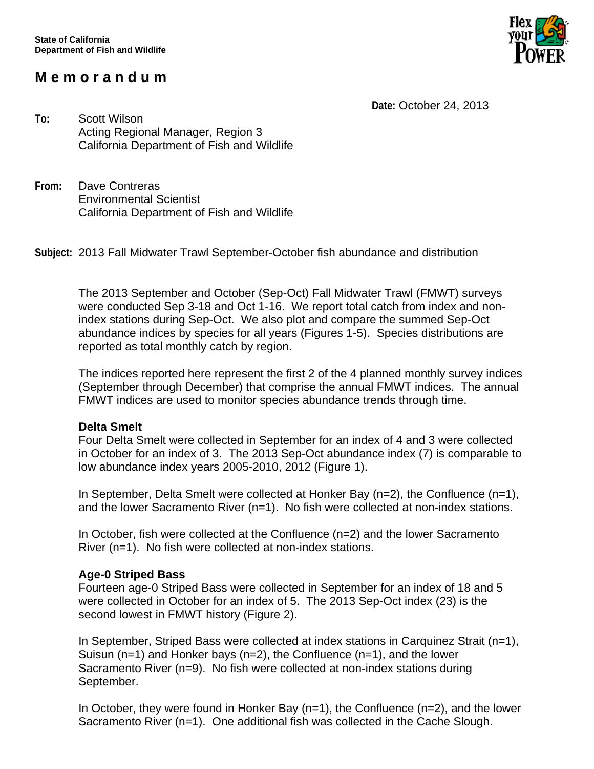# **M e m o r a n d u m**



 **Date:** October 24, 2013

**To:** Scott Wilson Acting Regional Manager, Region 3 California Department of Fish and Wildlife

**From:** Dave Contreras Environmental Scientist California Department of Fish and Wildlife

**Subject:** 2013 Fall Midwater Trawl September-October fish abundance and distribution

The 2013 September and October (Sep-Oct) Fall Midwater Trawl (FMWT) surveys were conducted Sep 3-18 and Oct 1-16. We report total catch from index and nonindex stations during Sep-Oct. We also plot and compare the summed Sep-Oct abundance indices by species for all years (Figures 1-5). Species distributions are reported as total monthly catch by region.

The indices reported here represent the first 2 of the 4 planned monthly survey indices (September through December) that comprise the annual FMWT indices. The annual FMWT indices are used to monitor species abundance trends through time.

#### **Delta Smelt**

Four Delta Smelt were collected in September for an index of 4 and 3 were collected in October for an index of 3. The 2013 Sep-Oct abundance index (7) is comparable to low abundance index years 2005-2010, 2012 (Figure 1).

In September, Delta Smelt were collected at Honker Bay (n=2), the Confluence (n=1), and the lower Sacramento River (n=1). No fish were collected at non-index stations.

In October, fish were collected at the Confluence (n=2) and the lower Sacramento River (n=1). No fish were collected at non-index stations.

## **Age-0 Striped Bass**

Fourteen age-0 Striped Bass were collected in September for an index of 18 and 5 were collected in October for an index of 5. The 2013 Sep-Oct index (23) is the second lowest in FMWT history (Figure 2).

In September, Striped Bass were collected at index stations in Carquinez Strait (n=1), Suisun (n=1) and Honker bays (n=2), the Confluence (n=1), and the lower Sacramento River (n=9). No fish were collected at non-index stations during September.

In October, they were found in Honker Bay (n=1), the Confluence (n=2), and the lower Sacramento River (n=1). One additional fish was collected in the Cache Slough.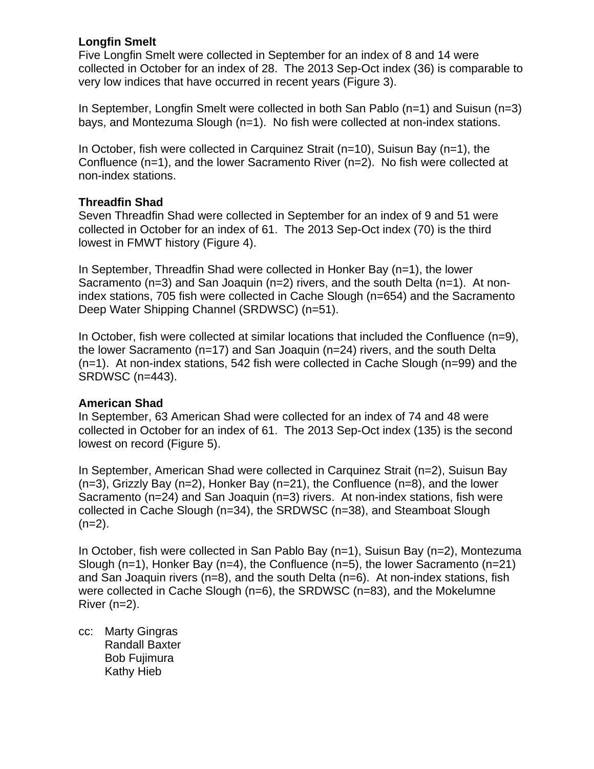## **Longfin Smelt**

Five Longfin Smelt were collected in September for an index of 8 and 14 were collected in October for an index of 28. The 2013 Sep-Oct index (36) is comparable to very low indices that have occurred in recent years (Figure 3).

In September, Longfin Smelt were collected in both San Pablo (n=1) and Suisun (n=3) bays, and Montezuma Slough (n=1). No fish were collected at non-index stations.

In October, fish were collected in Carquinez Strait (n=10), Suisun Bay (n=1), the Confluence (n=1), and the lower Sacramento River (n=2). No fish were collected at non-index stations.

## **Threadfin Shad**

Seven Threadfin Shad were collected in September for an index of 9 and 51 were collected in October for an index of 61. The 2013 Sep-Oct index (70) is the third lowest in FMWT history (Figure 4).

In September, Threadfin Shad were collected in Honker Bay (n=1), the lower Sacramento (n=3) and San Joaquin (n=2) rivers, and the south Delta (n=1). At nonindex stations, 705 fish were collected in Cache Slough (n=654) and the Sacramento Deep Water Shipping Channel (SRDWSC) (n=51).

In October, fish were collected at similar locations that included the Confluence (n=9), the lower Sacramento (n=17) and San Joaquin (n=24) rivers, and the south Delta (n=1). At non-index stations, 542 fish were collected in Cache Slough (n=99) and the SRDWSC (n=443).

#### **American Shad**

In September, 63 American Shad were collected for an index of 74 and 48 were collected in October for an index of 61. The 2013 Sep-Oct index (135) is the second lowest on record (Figure 5).

In September, American Shad were collected in Carquinez Strait (n=2), Suisun Bay  $(n=3)$ , Grizzly Bay  $(n=2)$ , Honker Bay  $(n=21)$ , the Confluence  $(n=8)$ , and the lower Sacramento (n=24) and San Joaquin (n=3) rivers. At non-index stations, fish were collected in Cache Slough (n=34), the SRDWSC (n=38), and Steamboat Slough  $(n=2)$ .

In October, fish were collected in San Pablo Bay (n=1), Suisun Bay (n=2), Montezuma Slough (n=1), Honker Bay (n=4), the Confluence (n=5), the lower Sacramento (n=21) and San Joaquin rivers  $(n=8)$ , and the south Delta  $(n=6)$ . At non-index stations, fish were collected in Cache Slough (n=6), the SRDWSC (n=83), and the Mokelumne River (n=2).

cc: Marty Gingras Randall Baxter Bob Fujimura Kathy Hieb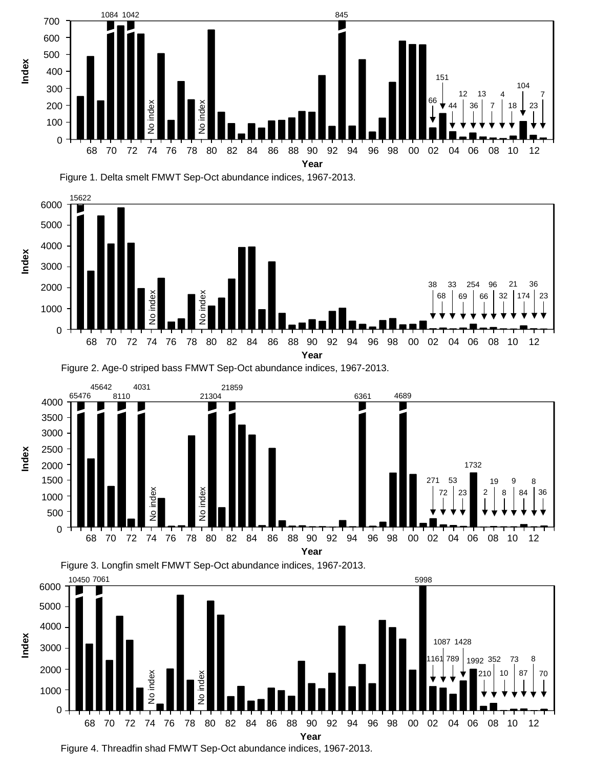